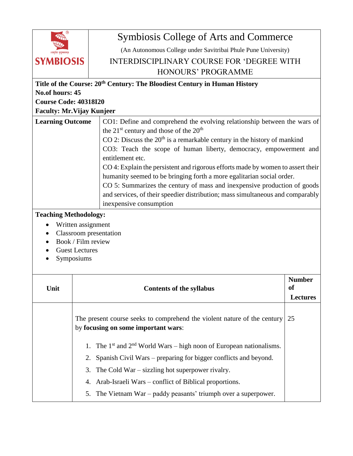| ॥वसुधैव कुटुम्बकम्॥<br><b>SYMBIOSIS</b> |
|-----------------------------------------|
|                                         |

## Symbiosis College of Arts and Commerce

(An Autonomous College under Savitribai Phule Pune University)

## INTERDISCIPLINARY COURSE FOR 'DEGREE WITH HONOURS' PROGRAMME

| Title of the Course: 20 <sup>th</sup> Century: The Bloodiest Century in Human History                          |                                                                                                                                                                                       |                                                                                                                                                                  |  |  |
|----------------------------------------------------------------------------------------------------------------|---------------------------------------------------------------------------------------------------------------------------------------------------------------------------------------|------------------------------------------------------------------------------------------------------------------------------------------------------------------|--|--|
| No.of hours: 45                                                                                                |                                                                                                                                                                                       |                                                                                                                                                                  |  |  |
| <b>Course Code: 40318I20</b>                                                                                   |                                                                                                                                                                                       |                                                                                                                                                                  |  |  |
| <b>Faculty: Mr. Vijay Kunjeer</b>                                                                              |                                                                                                                                                                                       |                                                                                                                                                                  |  |  |
| <b>Learning Outcome</b>                                                                                        | the 21 <sup>st</sup> century and those of the 20 <sup>th</sup>                                                                                                                        | CO1: Define and comprehend the evolving relationship between the wars of<br>CO 2: Discuss the 20 <sup>th</sup> is a remarkable century in the history of mankind |  |  |
|                                                                                                                | CO3: Teach the scope of human liberty, democracy, empowerment and<br>entitlement etc.                                                                                                 |                                                                                                                                                                  |  |  |
|                                                                                                                | CO 4: Explain the persistent and rigorous efforts made by women to assert their<br>humanity seemed to be bringing forth a more egalitarian social order.                              |                                                                                                                                                                  |  |  |
|                                                                                                                | CO 5: Summarizes the century of mass and inexpensive production of goods<br>and services, of their speedier distribution; mass simultaneous and comparably<br>inexpensive consumption |                                                                                                                                                                  |  |  |
| <b>Teaching Methodology:</b>                                                                                   |                                                                                                                                                                                       |                                                                                                                                                                  |  |  |
| Written assignment<br>Classroom presentation<br>٠<br>Book / Film review<br><b>Guest Lectures</b><br>Symposiums |                                                                                                                                                                                       |                                                                                                                                                                  |  |  |
| Unit                                                                                                           | <b>Contents of the syllabus</b>                                                                                                                                                       | <b>Number</b><br><b>of</b>                                                                                                                                       |  |  |
|                                                                                                                |                                                                                                                                                                                       | <b>Lectures</b>                                                                                                                                                  |  |  |
|                                                                                                                | The present course seeks to comprehend the violent nature of the century<br>by focusing on some important wars:                                                                       | 25                                                                                                                                                               |  |  |
|                                                                                                                | The $1st$ and $2nd$ World Wars – high noon of European nationalisms.<br>1.                                                                                                            |                                                                                                                                                                  |  |  |
|                                                                                                                | Spanish Civil Wars – preparing for bigger conflicts and beyond.<br>2.                                                                                                                 |                                                                                                                                                                  |  |  |
|                                                                                                                | The Cold War $-$ sizzling hot superpower rivalry.<br>3.                                                                                                                               |                                                                                                                                                                  |  |  |
|                                                                                                                | Arab-Israeli Wars – conflict of Biblical proportions.<br>4.                                                                                                                           |                                                                                                                                                                  |  |  |
|                                                                                                                | The Vietnam War - paddy peasants' triumph over a superpower.<br>5.                                                                                                                    |                                                                                                                                                                  |  |  |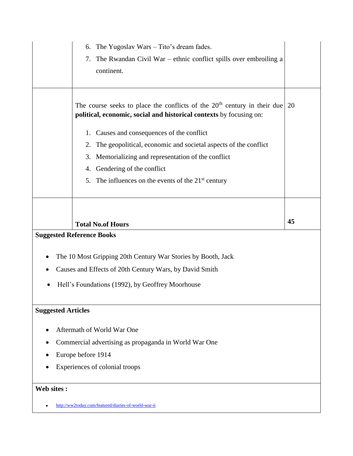| The Yugoslav Wars – Tito's dream fades.<br>6.<br>The Rwandan Civil War – ethnic conflict spills over embroiling a<br>7.<br>continent.             |    |  |  |
|---------------------------------------------------------------------------------------------------------------------------------------------------|----|--|--|
| The course seeks to place the conflicts of the $20th$ century in their due<br>political, economic, social and historical contexts by focusing on: | 20 |  |  |
| 1. Causes and consequences of the conflict                                                                                                        |    |  |  |
| The geopolitical, economic and societal aspects of the conflict<br>2.                                                                             |    |  |  |
| Memorializing and representation of the conflict<br>3.                                                                                            |    |  |  |
| Gendering of the conflict<br>4.                                                                                                                   |    |  |  |
| 5. The influences on the events of the $21st$ century                                                                                             |    |  |  |
|                                                                                                                                                   |    |  |  |
| <b>Total No.of Hours</b>                                                                                                                          | 45 |  |  |
| <b>Suggested Reference Books</b>                                                                                                                  |    |  |  |
| The 10 Most Gripping 20th Century War Stories by Booth, Jack                                                                                      |    |  |  |
| Causes and Effects of 20th Century Wars, by David Smith                                                                                           |    |  |  |
| Hell's Foundations (1992), by Geoffrey Moorhouse                                                                                                  |    |  |  |
| <b>Suggested Articles</b>                                                                                                                         |    |  |  |
| Aftermath of World War One                                                                                                                        |    |  |  |
| Commercial advertising as propaganda in World War One                                                                                             |    |  |  |
| Europe before 1914                                                                                                                                |    |  |  |
| Experiences of colonial troops                                                                                                                    |    |  |  |
| Web sites :                                                                                                                                       |    |  |  |
| http://ww2today.com/featured/diaries-of-world-war-ii                                                                                              |    |  |  |